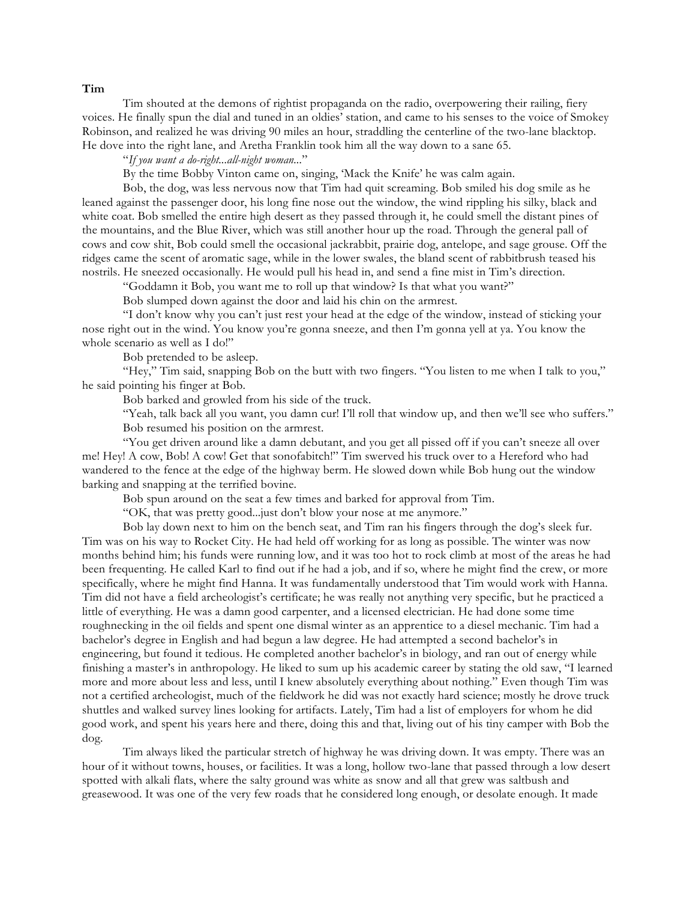## **Tim**

Tim shouted at the demons of rightist propaganda on the radio, overpowering their railing, fiery voices. He finally spun the dial and tuned in an oldies' station, and came to his senses to the voice of Smokey Robinson, and realized he was driving 90 miles an hour, straddling the centerline of the two-lane blacktop. He dove into the right lane, and Aretha Franklin took him all the way down to a sane 65.

"*If you want a do-right...all-night woman...*"

By the time Bobby Vinton came on, singing, 'Mack the Knife' he was calm again.

Bob, the dog, was less nervous now that Tim had quit screaming. Bob smiled his dog smile as he leaned against the passenger door, his long fine nose out the window, the wind rippling his silky, black and white coat. Bob smelled the entire high desert as they passed through it, he could smell the distant pines of the mountains, and the Blue River, which was still another hour up the road. Through the general pall of cows and cow shit, Bob could smell the occasional jackrabbit, prairie dog, antelope, and sage grouse. Off the ridges came the scent of aromatic sage, while in the lower swales, the bland scent of rabbitbrush teased his nostrils. He sneezed occasionally. He would pull his head in, and send a fine mist in Tim's direction.

"Goddamn it Bob, you want me to roll up that window? Is that what you want?"

Bob slumped down against the door and laid his chin on the armrest.

"I don't know why you can't just rest your head at the edge of the window, instead of sticking your nose right out in the wind. You know you're gonna sneeze, and then I'm gonna yell at ya. You know the whole scenario as well as I do!"

Bob pretended to be asleep.

"Hey," Tim said, snapping Bob on the butt with two fingers. "You listen to me when I talk to you," he said pointing his finger at Bob.

Bob barked and growled from his side of the truck.

"Yeah, talk back all you want, you damn cur! I'll roll that window up, and then we'll see who suffers." Bob resumed his position on the armrest.

"You get driven around like a damn debutant, and you get all pissed off if you can't sneeze all over me! Hey! A cow, Bob! A cow! Get that sonofabitch!" Tim swerved his truck over to a Hereford who had wandered to the fence at the edge of the highway berm. He slowed down while Bob hung out the window barking and snapping at the terrified bovine.

Bob spun around on the seat a few times and barked for approval from Tim.

"OK, that was pretty good...just don't blow your nose at me anymore."

Bob lay down next to him on the bench seat, and Tim ran his fingers through the dog's sleek fur. Tim was on his way to Rocket City. He had held off working for as long as possible. The winter was now months behind him; his funds were running low, and it was too hot to rock climb at most of the areas he had been frequenting. He called Karl to find out if he had a job, and if so, where he might find the crew, or more specifically, where he might find Hanna. It was fundamentally understood that Tim would work with Hanna. Tim did not have a field archeologist's certificate; he was really not anything very specific, but he practiced a little of everything. He was a damn good carpenter, and a licensed electrician. He had done some time roughnecking in the oil fields and spent one dismal winter as an apprentice to a diesel mechanic. Tim had a bachelor's degree in English and had begun a law degree. He had attempted a second bachelor's in engineering, but found it tedious. He completed another bachelor's in biology, and ran out of energy while finishing a master's in anthropology. He liked to sum up his academic career by stating the old saw, "I learned more and more about less and less, until I knew absolutely everything about nothing." Even though Tim was not a certified archeologist, much of the fieldwork he did was not exactly hard science; mostly he drove truck shuttles and walked survey lines looking for artifacts. Lately, Tim had a list of employers for whom he did good work, and spent his years here and there, doing this and that, living out of his tiny camper with Bob the dog.

Tim always liked the particular stretch of highway he was driving down. It was empty. There was an hour of it without towns, houses, or facilities. It was a long, hollow two-lane that passed through a low desert spotted with alkali flats, where the salty ground was white as snow and all that grew was saltbush and greasewood. It was one of the very few roads that he considered long enough, or desolate enough. It made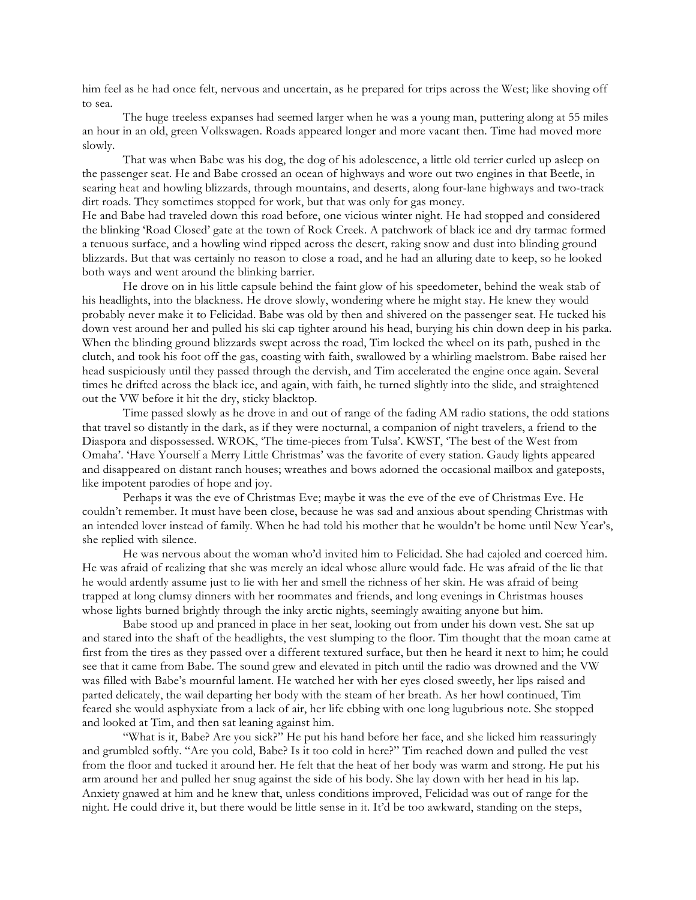him feel as he had once felt, nervous and uncertain, as he prepared for trips across the West; like shoving off to sea.

The huge treeless expanses had seemed larger when he was a young man, puttering along at 55 miles an hour in an old, green Volkswagen. Roads appeared longer and more vacant then. Time had moved more slowly.

That was when Babe was his dog, the dog of his adolescence, a little old terrier curled up asleep on the passenger seat. He and Babe crossed an ocean of highways and wore out two engines in that Beetle, in searing heat and howling blizzards, through mountains, and deserts, along four-lane highways and two-track dirt roads. They sometimes stopped for work, but that was only for gas money.

He and Babe had traveled down this road before, one vicious winter night. He had stopped and considered the blinking 'Road Closed' gate at the town of Rock Creek. A patchwork of black ice and dry tarmac formed a tenuous surface, and a howling wind ripped across the desert, raking snow and dust into blinding ground blizzards. But that was certainly no reason to close a road, and he had an alluring date to keep, so he looked both ways and went around the blinking barrier.

He drove on in his little capsule behind the faint glow of his speedometer, behind the weak stab of his headlights, into the blackness. He drove slowly, wondering where he might stay. He knew they would probably never make it to Felicidad. Babe was old by then and shivered on the passenger seat. He tucked his down vest around her and pulled his ski cap tighter around his head, burying his chin down deep in his parka. When the blinding ground blizzards swept across the road, Tim locked the wheel on its path, pushed in the clutch, and took his foot off the gas, coasting with faith, swallowed by a whirling maelstrom. Babe raised her head suspiciously until they passed through the dervish, and Tim accelerated the engine once again. Several times he drifted across the black ice, and again, with faith, he turned slightly into the slide, and straightened out the VW before it hit the dry, sticky blacktop.

Time passed slowly as he drove in and out of range of the fading AM radio stations, the odd stations that travel so distantly in the dark, as if they were nocturnal, a companion of night travelers, a friend to the Diaspora and dispossessed. WROK, 'The time-pieces from Tulsa'. KWST, 'The best of the West from Omaha'. 'Have Yourself a Merry Little Christmas' was the favorite of every station. Gaudy lights appeared and disappeared on distant ranch houses; wreathes and bows adorned the occasional mailbox and gateposts, like impotent parodies of hope and joy.

Perhaps it was the eve of Christmas Eve; maybe it was the eve of the eve of Christmas Eve. He couldn't remember. It must have been close, because he was sad and anxious about spending Christmas with an intended lover instead of family. When he had told his mother that he wouldn't be home until New Year's, she replied with silence.

He was nervous about the woman who'd invited him to Felicidad. She had cajoled and coerced him. He was afraid of realizing that she was merely an ideal whose allure would fade. He was afraid of the lie that he would ardently assume just to lie with her and smell the richness of her skin. He was afraid of being trapped at long clumsy dinners with her roommates and friends, and long evenings in Christmas houses whose lights burned brightly through the inky arctic nights, seemingly awaiting anyone but him.

Babe stood up and pranced in place in her seat, looking out from under his down vest. She sat up and stared into the shaft of the headlights, the vest slumping to the floor. Tim thought that the moan came at first from the tires as they passed over a different textured surface, but then he heard it next to him; he could see that it came from Babe. The sound grew and elevated in pitch until the radio was drowned and the VW was filled with Babe's mournful lament. He watched her with her eyes closed sweetly, her lips raised and parted delicately, the wail departing her body with the steam of her breath. As her howl continued, Tim feared she would asphyxiate from a lack of air, her life ebbing with one long lugubrious note. She stopped and looked at Tim, and then sat leaning against him.

"What is it, Babe? Are you sick?" He put his hand before her face, and she licked him reassuringly and grumbled softly. "Are you cold, Babe? Is it too cold in here?" Tim reached down and pulled the vest from the floor and tucked it around her. He felt that the heat of her body was warm and strong. He put his arm around her and pulled her snug against the side of his body. She lay down with her head in his lap. Anxiety gnawed at him and he knew that, unless conditions improved, Felicidad was out of range for the night. He could drive it, but there would be little sense in it. It'd be too awkward, standing on the steps,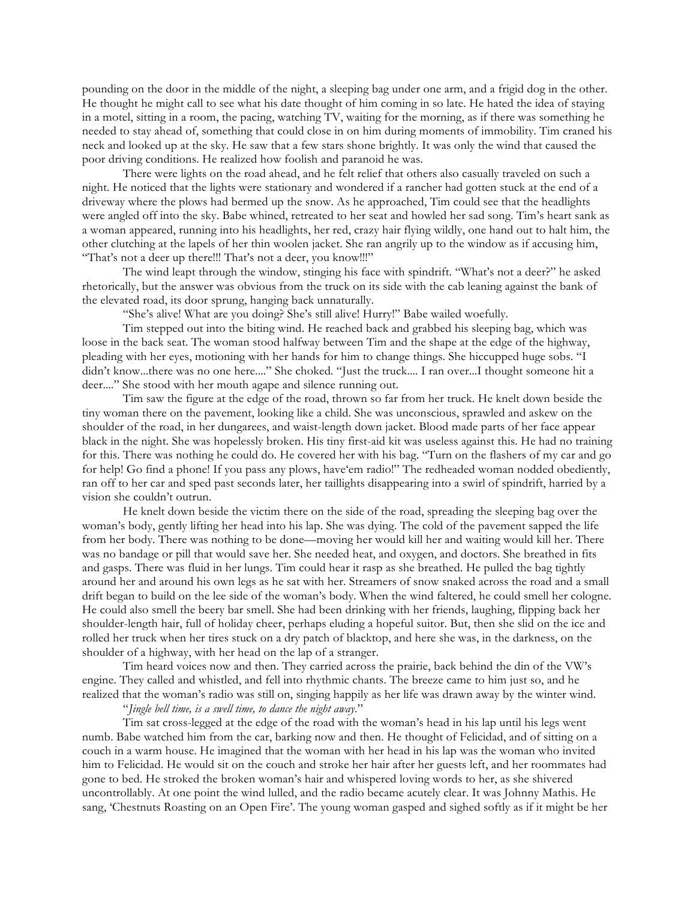pounding on the door in the middle of the night, a sleeping bag under one arm, and a frigid dog in the other. He thought he might call to see what his date thought of him coming in so late. He hated the idea of staying in a motel, sitting in a room, the pacing, watching TV, waiting for the morning, as if there was something he needed to stay ahead of, something that could close in on him during moments of immobility. Tim craned his neck and looked up at the sky. He saw that a few stars shone brightly. It was only the wind that caused the poor driving conditions. He realized how foolish and paranoid he was.

There were lights on the road ahead, and he felt relief that others also casually traveled on such a night. He noticed that the lights were stationary and wondered if a rancher had gotten stuck at the end of a driveway where the plows had bermed up the snow. As he approached, Tim could see that the headlights were angled off into the sky. Babe whined, retreated to her seat and howled her sad song. Tim's heart sank as a woman appeared, running into his headlights, her red, crazy hair flying wildly, one hand out to halt him, the other clutching at the lapels of her thin woolen jacket. She ran angrily up to the window as if accusing him, "That's not a deer up there!!! That's not a deer, you know!!!"

The wind leapt through the window, stinging his face with spindrift. "What's not a deer?" he asked rhetorically, but the answer was obvious from the truck on its side with the cab leaning against the bank of the elevated road, its door sprung, hanging back unnaturally.

"She's alive! What are you doing? She's still alive! Hurry!" Babe wailed woefully.

Tim stepped out into the biting wind. He reached back and grabbed his sleeping bag, which was loose in the back seat. The woman stood halfway between Tim and the shape at the edge of the highway, pleading with her eyes, motioning with her hands for him to change things. She hiccupped huge sobs. "I didn't know...there was no one here...." She choked. "Just the truck.... I ran over...I thought someone hit a deer...." She stood with her mouth agape and silence running out.

Tim saw the figure at the edge of the road, thrown so far from her truck. He knelt down beside the tiny woman there on the pavement, looking like a child. She was unconscious, sprawled and askew on the shoulder of the road, in her dungarees, and waist-length down jacket. Blood made parts of her face appear black in the night. She was hopelessly broken. His tiny first-aid kit was useless against this. He had no training for this. There was nothing he could do. He covered her with his bag. "Turn on the flashers of my car and go for help! Go find a phone! If you pass any plows, have'em radio!" The redheaded woman nodded obediently, ran off to her car and sped past seconds later, her taillights disappearing into a swirl of spindrift, harried by a vision she couldn't outrun.

He knelt down beside the victim there on the side of the road, spreading the sleeping bag over the woman's body, gently lifting her head into his lap. She was dying. The cold of the pavement sapped the life from her body. There was nothing to be done—moving her would kill her and waiting would kill her. There was no bandage or pill that would save her. She needed heat, and oxygen, and doctors. She breathed in fits and gasps. There was fluid in her lungs. Tim could hear it rasp as she breathed. He pulled the bag tightly around her and around his own legs as he sat with her. Streamers of snow snaked across the road and a small drift began to build on the lee side of the woman's body. When the wind faltered, he could smell her cologne. He could also smell the beery bar smell. She had been drinking with her friends, laughing, flipping back her shoulder-length hair, full of holiday cheer, perhaps eluding a hopeful suitor. But, then she slid on the ice and rolled her truck when her tires stuck on a dry patch of blacktop, and here she was, in the darkness, on the shoulder of a highway, with her head on the lap of a stranger.

Tim heard voices now and then. They carried across the prairie, back behind the din of the VW's engine. They called and whistled, and fell into rhythmic chants. The breeze came to him just so, and he realized that the woman's radio was still on, singing happily as her life was drawn away by the winter wind.

"*Jingle bell time, is a swell time, to dance the night away*."

Tim sat cross-legged at the edge of the road with the woman's head in his lap until his legs went numb. Babe watched him from the car, barking now and then. He thought of Felicidad, and of sitting on a couch in a warm house. He imagined that the woman with her head in his lap was the woman who invited him to Felicidad. He would sit on the couch and stroke her hair after her guests left, and her roommates had gone to bed. He stroked the broken woman's hair and whispered loving words to her, as she shivered uncontrollably. At one point the wind lulled, and the radio became acutely clear. It was Johnny Mathis. He sang, 'Chestnuts Roasting on an Open Fire'. The young woman gasped and sighed softly as if it might be her